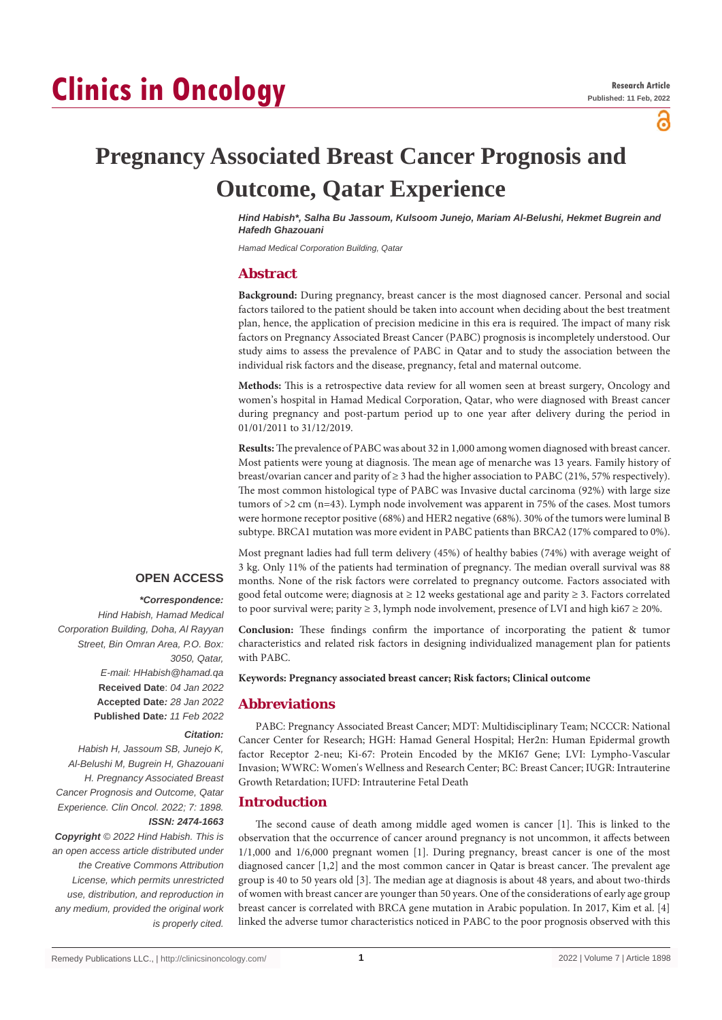# **Clinics in Oncology**

ဥ

# **Pregnancy Associated Breast Cancer Prognosis and Outcome, Qatar Experience**

*Hind Habish\*, Salha Bu Jassoum, Kulsoom Junejo, Mariam Al-Belushi, Hekmet Bugrein and Hafedh Ghazouani*

*Hamad Medical Corporation Building, Qatar*

# **Abstract**

**Background:** During pregnancy, breast cancer is the most diagnosed cancer. Personal and social factors tailored to the patient should be taken into account when deciding about the best treatment plan, hence, the application of precision medicine in this era is required. The impact of many risk factors on Pregnancy Associated Breast Cancer (PABC) prognosis is incompletely understood. Our study aims to assess the prevalence of PABC in Qatar and to study the association between the individual risk factors and the disease, pregnancy, fetal and maternal outcome.

**Methods:** This is a retrospective data review for all women seen at breast surgery, Oncology and women's hospital in Hamad Medical Corporation, Qatar, who were diagnosed with Breast cancer during pregnancy and post-partum period up to one year after delivery during the period in 01/01/2011 to 31/12/2019.

**Results:** The prevalence of PABC was about 32 in 1,000 among women diagnosed with breast cancer. Most patients were young at diagnosis. The mean age of menarche was 13 years. Family history of breast/ovarian cancer and parity of ≥ 3 had the higher association to PABC (21%, 57% respectively). The most common histological type of PABC was Invasive ductal carcinoma (92%) with large size tumors of >2 cm (n=43). Lymph node involvement was apparent in 75% of the cases. Most tumors were hormone receptor positive (68%) and HER2 negative (68%). 30% of the tumors were luminal B subtype. BRCA1 mutation was more evident in PABC patients than BRCA2 (17% compared to 0%).

# **OPEN ACCESS**

#### *\*Correspondence:*

*Hind Habish, Hamad Medical Corporation Building, Doha, Al Rayyan Street, Bin Omran Area, P.O. Box: 3050, Qatar, E-mail: HHabish@hamad.qa* **Received Date**: *04 Jan 2022* **Accepted Date***: 28 Jan 2022* **Published Date***: 11 Feb 2022*

#### *Citation:*

*Habish H, Jassoum SB, Junejo K, Al-Belushi M, Bugrein H, Ghazouani H. Pregnancy Associated Breast Cancer Prognosis and Outcome, Qatar Experience. Clin Oncol. 2022; 7: 1898. ISSN: 2474-1663*

*Copyright © 2022 Hind Habish. This is an open access article distributed under the Creative Commons Attribution License, which permits unrestricted use, distribution, and reproduction in any medium, provided the original work is properly cited.*

Most pregnant ladies had full term delivery (45%) of healthy babies (74%) with average weight of 3 kg. Only 11% of the patients had termination of pregnancy. The median overall survival was 88 months. None of the risk factors were correlated to pregnancy outcome. Factors associated with good fetal outcome were; diagnosis at ≥ 12 weeks gestational age and parity ≥ 3. Factors correlated to poor survival were; parity  $\geq 3$ , lymph node involvement, presence of LVI and high ki67  $\geq 20\%$ .

**Conclusion:** These findings confirm the importance of incorporating the patient & tumor characteristics and related risk factors in designing individualized management plan for patients with PABC.

**Keywords: Pregnancy associated breast cancer; Risk factors; Clinical outcome**

#### **Abbreviations**

PABC: Pregnancy Associated Breast Cancer; MDT: Multidisciplinary Team; NCCCR: National Cancer Center for Research; HGH: Hamad General Hospital; Her2n: Human Epidermal growth factor Receptor 2-neu; Ki-67: Protein Encoded by the MKI67 Gene; LVI: Lympho-Vascular Invasion; WWRC: Women's Wellness and Research Center; BC: Breast Cancer; IUGR: Intrauterine Growth Retardation; IUFD: Intrauterine Fetal Death

#### **Introduction**

The second cause of death among middle aged women is cancer [1]. This is linked to the observation that the occurrence of cancer around pregnancy is not uncommon, it affects between 1/1,000 and 1/6,000 pregnant women [1]. During pregnancy, breast cancer is one of the most diagnosed cancer [1,2] and the most common cancer in Qatar is breast cancer. The prevalent age group is 40 to 50 years old [3]. The median age at diagnosis is about 48 years, and about two-thirds of women with breast cancer are younger than 50 years. One of the considerations of early age group breast cancer is correlated with BRCA gene mutation in Arabic population. In 2017, Kim et al. [4] linked the adverse tumor characteristics noticed in PABC to the poor prognosis observed with this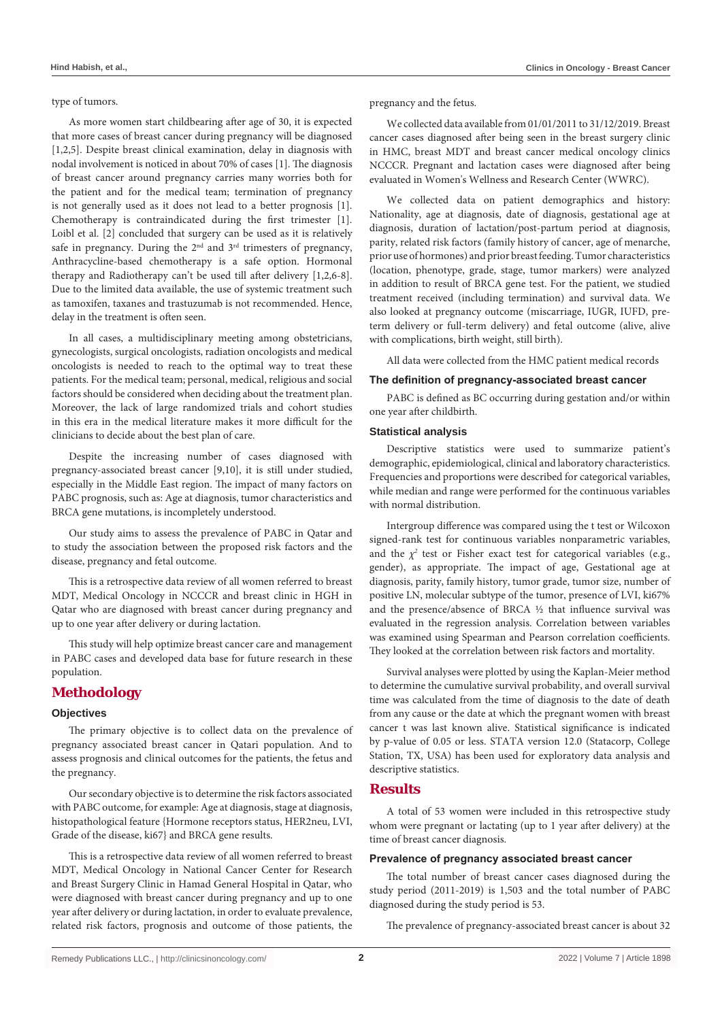#### type of tumors.

As more women start childbearing after age of 30, it is expected that more cases of breast cancer during pregnancy will be diagnosed [1,2,5]. Despite breast clinical examination, delay in diagnosis with nodal involvement is noticed in about 70% of cases [1]. The diagnosis of breast cancer around pregnancy carries many worries both for the patient and for the medical team; termination of pregnancy is not generally used as it does not lead to a better prognosis [1]. Chemotherapy is contraindicated during the first trimester [1]. Loibl et al. [2] concluded that surgery can be used as it is relatively safe in pregnancy. During the  $2<sup>nd</sup>$  and  $3<sup>rd</sup>$  trimesters of pregnancy, Anthracycline-based chemotherapy is a safe option. Hormonal therapy and Radiotherapy can't be used till after delivery [1,2,6-8]. Due to the limited data available, the use of systemic treatment such as tamoxifen, taxanes and trastuzumab is not recommended. Hence, delay in the treatment is often seen.

In all cases, a multidisciplinary meeting among obstetricians, gynecologists, surgical oncologists, radiation oncologists and medical oncologists is needed to reach to the optimal way to treat these patients. For the medical team; personal, medical, religious and social factors should be considered when deciding about the treatment plan. Moreover, the lack of large randomized trials and cohort studies in this era in the medical literature makes it more difficult for the clinicians to decide about the best plan of care.

Despite the increasing number of cases diagnosed with pregnancy-associated breast cancer [9,10], it is still under studied, especially in the Middle East region. The impact of many factors on PABC prognosis, such as: Age at diagnosis, tumor characteristics and BRCA gene mutations, is incompletely understood.

Our study aims to assess the prevalence of PABC in Qatar and to study the association between the proposed risk factors and the disease, pregnancy and fetal outcome.

This is a retrospective data review of all women referred to breast MDT, Medical Oncology in NCCCR and breast clinic in HGH in Qatar who are diagnosed with breast cancer during pregnancy and up to one year after delivery or during lactation.

This study will help optimize breast cancer care and management in PABC cases and developed data base for future research in these population.

# **Methodology**

#### **Objectives**

The primary objective is to collect data on the prevalence of pregnancy associated breast cancer in Qatari population. And to assess prognosis and clinical outcomes for the patients, the fetus and the pregnancy.

Our secondary objective is to determine the risk factors associated with PABC outcome, for example: Age at diagnosis, stage at diagnosis, histopathological feature {Hormone receptors status, HER2neu, LVI, Grade of the disease, ki67} and BRCA gene results.

This is a retrospective data review of all women referred to breast MDT, Medical Oncology in National Cancer Center for Research and Breast Surgery Clinic in Hamad General Hospital in Qatar, who were diagnosed with breast cancer during pregnancy and up to one year after delivery or during lactation, in order to evaluate prevalence, related risk factors, prognosis and outcome of those patients, the pregnancy and the fetus.

We collected data available from 01/01/2011 to 31/12/2019. Breast cancer cases diagnosed after being seen in the breast surgery clinic in HMC, breast MDT and breast cancer medical oncology clinics NCCCR. Pregnant and lactation cases were diagnosed after being evaluated in Women's Wellness and Research Center (WWRC).

We collected data on patient demographics and history: Nationality, age at diagnosis, date of diagnosis, gestational age at diagnosis, duration of lactation/post-partum period at diagnosis, parity, related risk factors (family history of cancer, age of menarche, prior use of hormones) and prior breast feeding. Tumor characteristics (location, phenotype, grade, stage, tumor markers) were analyzed in addition to result of BRCA gene test. For the patient, we studied treatment received (including termination) and survival data. We also looked at pregnancy outcome (miscarriage, IUGR, IUFD, preterm delivery or full-term delivery) and fetal outcome (alive, alive with complications, birth weight, still birth).

All data were collected from the HMC patient medical records

#### **The definition of pregnancy-associated breast cancer**

PABC is defined as BC occurring during gestation and/or within one year after childbirth.

#### **Statistical analysis**

Descriptive statistics were used to summarize patient's demographic, epidemiological, clinical and laboratory characteristics. Frequencies and proportions were described for categorical variables, while median and range were performed for the continuous variables with normal distribution.

Intergroup difference was compared using the t test or Wilcoxon signed-rank test for continuous variables nonparametric variables, and the  $\chi^2$  test or Fisher exact test for categorical variables (e.g., gender), as appropriate. The impact of age, Gestational age at diagnosis, parity, family history, tumor grade, tumor size, number of positive LN, molecular subtype of the tumor, presence of LVI, ki67% and the presence/absence of BRCA ½ that influence survival was evaluated in the regression analysis. Correlation between variables was examined using Spearman and Pearson correlation coefficients. They looked at the correlation between risk factors and mortality.

Survival analyses were plotted by using the Kaplan-Meier method to determine the cumulative survival probability, and overall survival time was calculated from the time of diagnosis to the date of death from any cause or the date at which the pregnant women with breast cancer t was last known alive. Statistical significance is indicated by p-value of 0.05 or less. STATA version 12.0 (Statacorp, College Station, TX, USA) has been used for exploratory data analysis and descriptive statistics.

# **Results**

A total of 53 women were included in this retrospective study whom were pregnant or lactating (up to 1 year after delivery) at the time of breast cancer diagnosis.

#### **Prevalence of pregnancy associated breast cancer**

The total number of breast cancer cases diagnosed during the study period (2011-2019) is 1,503 and the total number of PABC diagnosed during the study period is 53.

The prevalence of pregnancy-associated breast cancer is about 32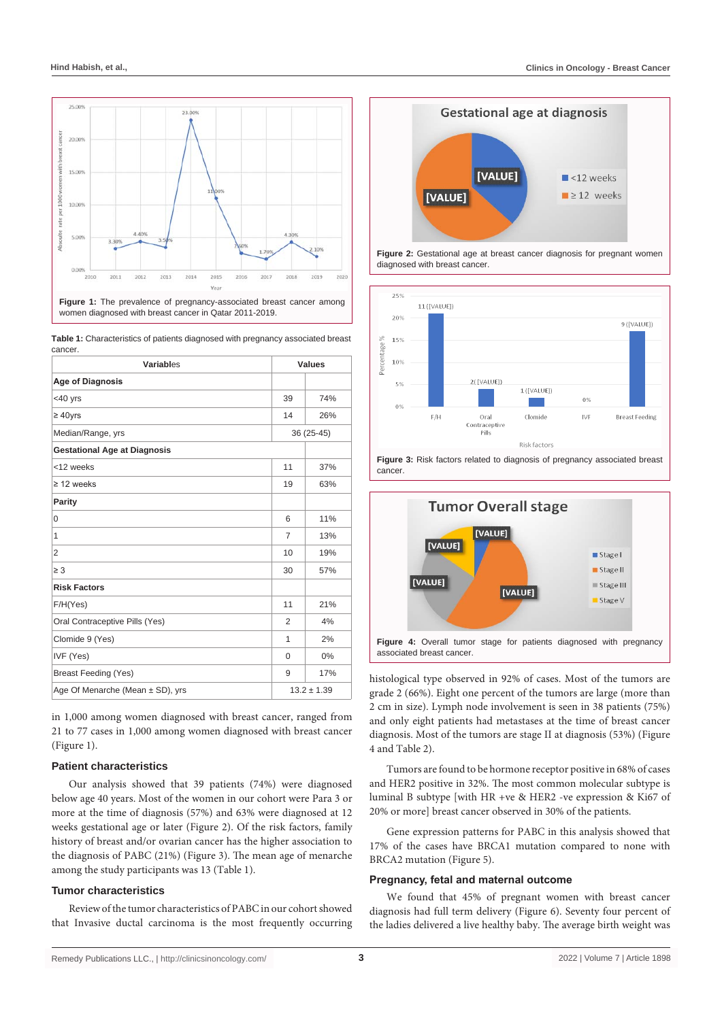

women diagnosed with breast cancer in Qatar 2011-2019.

**Table 1:** Characteristics of patients diagnosed with pregnancy associated breast cancer.

| Variables                                               | <b>Values</b>  |            |
|---------------------------------------------------------|----------------|------------|
| <b>Age of Diagnosis</b>                                 |                |            |
| <40 yrs                                                 | 39             | 74%        |
| $\geq 40$ yrs                                           | 14             | 26%        |
| Median/Range, yrs                                       |                | 36 (25-45) |
| <b>Gestational Age at Diagnosis</b>                     |                |            |
| <12 weeks                                               | 11             | 37%        |
| $\geq$ 12 weeks                                         | 19             | 63%        |
| Parity                                                  |                |            |
| $\Omega$                                                | 6              | 11%        |
| 1                                                       | 7              | 13%        |
| 2                                                       | 10             | 19%        |
| $\geq 3$                                                | 30             | 57%        |
| <b>Risk Factors</b>                                     |                |            |
| F/H(Yes)                                                | 11             | 21%        |
| Oral Contraceptive Pills (Yes)                          | $\overline{2}$ | 4%         |
| Clomide 9 (Yes)                                         | 1              | 2%         |
| IVF (Yes)                                               | $\Omega$       | 0%         |
| <b>Breast Feeding (Yes)</b>                             | 9              | 17%        |
| Age Of Menarche (Mean $\pm$ SD), yrs<br>$13.2 \pm 1.39$ |                |            |

in 1,000 among women diagnosed with breast cancer, ranged from 21 to 77 cases in 1,000 among women diagnosed with breast cancer (Figure 1).

# **Patient characteristics**

Our analysis showed that 39 patients (74%) were diagnosed below age 40 years. Most of the women in our cohort were Para 3 or more at the time of diagnosis (57%) and 63% were diagnosed at 12 weeks gestational age or later (Figure 2). Of the risk factors, family history of breast and/or ovarian cancer has the higher association to the diagnosis of PABC (21%) (Figure 3). The mean age of menarche among the study participants was 13 (Table 1).

#### **Tumor characteristics**

Review of the tumor characteristics of PABC in our cohort showed that Invasive ductal carcinoma is the most frequently occurring



**Figure 2:** Gestational age at breast cancer diagnosis for pregnant women diagnosed with breast cancer.





associated breast cancer.

histological type observed in 92% of cases. Most of the tumors are grade 2 (66%). Eight one percent of the tumors are large (more than 2 cm in size). Lymph node involvement is seen in 38 patients (75%) and only eight patients had metastases at the time of breast cancer diagnosis. Most of the tumors are stage II at diagnosis (53%) (Figure 4 and Table 2).

Tumors are found to be hormone receptor positive in 68% of cases and HER2 positive in 32%. The most common molecular subtype is luminal B subtype [with HR +ve & HER2 -ve expression & Ki67 of 20% or more] breast cancer observed in 30% of the patients.

Gene expression patterns for PABC in this analysis showed that 17% of the cases have BRCA1 mutation compared to none with BRCA2 mutation (Figure 5).

#### **Pregnancy, fetal and maternal outcome**

We found that 45% of pregnant women with breast cancer diagnosis had full term delivery (Figure 6). Seventy four percent of the ladies delivered a live healthy baby. The average birth weight was

cancer.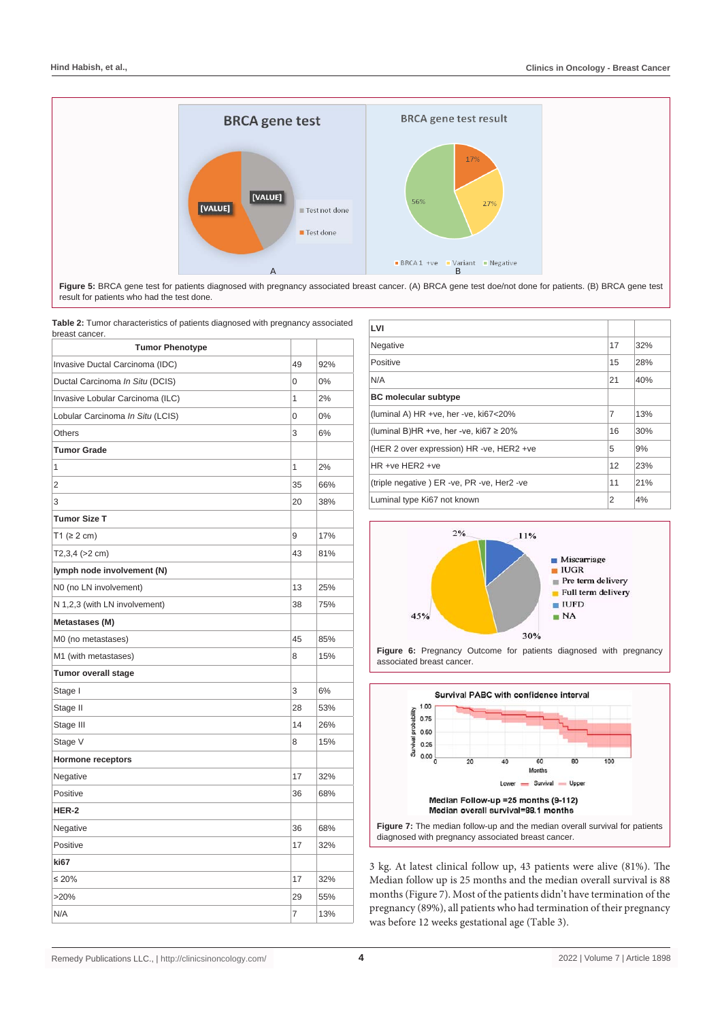

Figure 5: BRCA gene test for patients diagnosed with pregnancy associated breast cancer. (A) BRCA gene test doe/not done for patients. (B) BRCA gene test result for patients who had the test done.

**Table 2:** Tumor characteristics of patients diagnosed with pregnancy associated breast cancer. **LVI**

| breast cancer.<br><b>Tumor Phenotype</b> |    |       |
|------------------------------------------|----|-------|
| Invasive Ductal Carcinoma (IDC)          | 49 | 92%   |
| Ductal Carcinoma In Situ (DCIS)          | 0  | $0\%$ |
| Invasive Lobular Carcinoma (ILC)         | 1  | 2%    |
| Lobular Carcinoma In Situ (LCIS)         | 0  | 0%    |
| Others                                   | 3  | 6%    |
| <b>Tumor Grade</b>                       |    |       |
| 1                                        | 1  |       |
|                                          |    | 2%    |
| 2                                        | 35 | 66%   |
| 3                                        | 20 | 38%   |
| <b>Tumor Size T</b>                      |    |       |
| T1 ( $\geq$ 2 cm)                        | 9  | 17%   |
| $T2,3,4$ ( $>2$ cm)                      | 43 | 81%   |
| lymph node involvement (N)               |    |       |
| N0 (no LN involvement)                   | 13 | 25%   |
| N 1,2,3 (with LN involvement)            | 38 | 75%   |
| Metastases (M)                           |    |       |
| M0 (no metastases)                       | 45 | 85%   |
| M1 (with metastases)                     | 8  | 15%   |
| <b>Tumor overall stage</b>               |    |       |
| Stage I                                  | 3  | 6%    |
| Stage II                                 | 28 | 53%   |
| Stage III                                | 14 | 26%   |
| Stage V                                  | 8  | 15%   |
| <b>Hormone receptors</b>                 |    |       |
| Negative                                 | 17 | 32%   |
| Positive                                 | 36 | 68%   |
| HER-2                                    |    |       |
| Negative                                 | 36 | 68%   |
| Positive                                 | 17 | 32%   |
| ki67                                     |    |       |
| $\leq 20\%$                              | 17 | 32%   |
| >20%                                     | 29 | 55%   |
| N/A                                      | 7  | 13%   |
|                                          |    |       |

| LVI                                         |    |     |
|---------------------------------------------|----|-----|
| Negative                                    | 17 | 32% |
| Positive                                    | 15 | 28% |
| N/A                                         | 21 | 40% |
| <b>BC</b> molecular subtype                 |    |     |
| (luminal A) HR +ve, her -ve, ki67<20%       | 7  | 13% |
| (luminal B)HR +ve, her -ve, ki67 $\geq$ 20% | 16 | 30% |
| (HER 2 over expression) HR -ve, HER2 +ve    | 5  | 9%  |
| $HR +ve HFR2 +ve$                           | 12 | 23% |
| (triple negative) ER -ve, PR -ve, Her2 -ve  | 11 | 21% |
| Luminal type Ki67 not known                 | 2  | 4%  |



Figure 6: Pregnancy Outcome for patients diagnosed with pregnancy associated breast cancer.



3 kg. At latest clinical follow up, 43 patients were alive (81%). The Median follow up is 25 months and the median overall survival is 88 months (Figure 7). Most of the patients didn't have termination of the pregnancy (89%), all patients who had termination of their pregnancy was before 12 weeks gestational age (Table 3).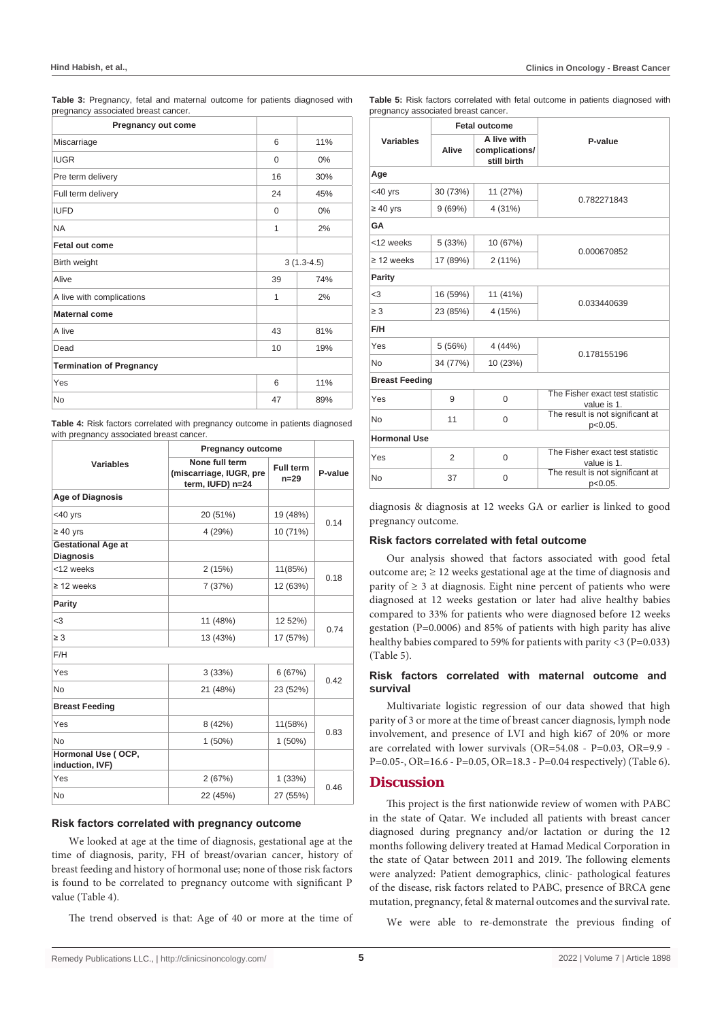**Table 3:** Pregnancy, fetal and maternal outcome for patients diagnosed with pregnancy associated breast cancer.

| <b>Pregnancy out come</b>       |              |     |
|---------------------------------|--------------|-----|
| Miscarriage                     | 6            | 11% |
| <b>IUGR</b>                     | $\mathbf 0$  | 0%  |
| Pre term delivery               | 16           | 30% |
| Full term delivery              | 24           | 45% |
| <b>IUFD</b>                     | 0            | 0%  |
| <b>NA</b>                       | 1            | 2%  |
| Fetal out come                  |              |     |
| Birth weight                    | $3(1.3-4.5)$ |     |
| Alive                           | 39<br>74%    |     |
| A live with complications       | 1            | 2%  |
| Maternal come                   |              |     |
| A live                          | 43           | 81% |
| Dead                            | 10           | 19% |
| <b>Termination of Pregnancy</b> |              |     |
| Yes                             | 6            | 11% |
| <b>No</b>                       | 47           | 89% |

**Table 4:** Risk factors correlated with pregnancy outcome in patients diagnosed with pregnancy associated breast cancer

|                                               | <b>Pregnancy outcome</b>                                      |                       |         |  |
|-----------------------------------------------|---------------------------------------------------------------|-----------------------|---------|--|
| <b>Variables</b>                              | None full term<br>(miscarriage, IUGR, pre<br>term, IUFD) n=24 | Full term<br>$n = 29$ | P-value |  |
| <b>Age of Diagnosis</b>                       |                                                               |                       |         |  |
| $<$ 40 $yrs$                                  | 20 (51%)                                                      | 19 (48%)              | 0.14    |  |
| $\geq 40$ yrs                                 | 4 (29%)                                                       | 10 (71%)              |         |  |
| <b>Gestational Age at</b><br><b>Diagnosis</b> |                                                               |                       |         |  |
| <12 weeks                                     | 2(15%)                                                        | 11(85%)               | 0.18    |  |
| $\geq$ 12 weeks                               | 7(37%)                                                        | 12 (63%)              |         |  |
| Parity                                        |                                                               |                       |         |  |
| <3                                            | 11 (48%)                                                      | 12 52%)               | 0.74    |  |
| $\geq 3$                                      | 13 (43%)                                                      | 17 (57%)              |         |  |
| F/H                                           |                                                               |                       |         |  |
| Yes                                           | 3(33%)                                                        | 6(67%)                | 0.42    |  |
| <b>No</b>                                     | 21 (48%)                                                      | 23 (52%)              |         |  |
| <b>Breast Feeding</b>                         |                                                               |                       |         |  |
| Yes                                           | 8(42%)                                                        | 11(58%)               | 0.83    |  |
| <b>No</b>                                     | $1(50\%)$                                                     | $1(50\%)$             |         |  |
| Hormonal Use (OCP,<br>induction, IVF)         |                                                               |                       |         |  |
| Yes                                           | 2(67%)                                                        | 1(33%)                | 0.46    |  |
| <b>No</b>                                     | 22 (45%)                                                      | 27 (55%)              |         |  |

#### **Risk factors correlated with pregnancy outcome**

We looked at age at the time of diagnosis, gestational age at the time of diagnosis, parity, FH of breast/ovarian cancer, history of breast feeding and history of hormonal use; none of those risk factors is found to be correlated to pregnancy outcome with significant P value (Table 4).

The trend observed is that: Age of 40 or more at the time of

**Table 5:** Risk factors correlated with fetal outcome in patients diagnosed with pregnancy associated breast cancer.

|                       | <b>Fetal outcome</b> |                                              |                                                |  |  |
|-----------------------|----------------------|----------------------------------------------|------------------------------------------------|--|--|
| Variables             | Alive                | A live with<br>complications/<br>still birth | P-value                                        |  |  |
| Age                   |                      |                                              |                                                |  |  |
| $<$ 40 $yrs$          | 30 (73%)             | 11 (27%)                                     | 0.782271843                                    |  |  |
| $\geq 40$ yrs         | 9(69%)               | 4(31%)                                       |                                                |  |  |
| GA                    |                      |                                              |                                                |  |  |
| <12 weeks             | 5(33%)               | 10 (67%)                                     |                                                |  |  |
| $\geq$ 12 weeks       | 17 (89%)             | 2(11%)                                       | 0.000670852                                    |  |  |
| Parity                |                      |                                              |                                                |  |  |
| $3$                   | 16 (59%)             | 11 (41%)                                     |                                                |  |  |
| $\geq 3$              | 23 (85%)             | 4 (15%)                                      | 0.033440639                                    |  |  |
| F/H                   |                      |                                              |                                                |  |  |
| Yes                   | 5(56%)               | 4(44%)                                       |                                                |  |  |
| N <sub>o</sub>        | 34 (77%)             | 10 (23%)                                     | 0.178155196                                    |  |  |
| <b>Breast Feeding</b> |                      |                                              |                                                |  |  |
| Yes                   | 9                    | $\Omega$                                     | The Fisher exact test statistic<br>value is 1. |  |  |
| No                    | 11                   | $\Omega$                                     | The result is not significant at<br>p<0.05.    |  |  |
| <b>Hormonal Use</b>   |                      |                                              |                                                |  |  |
| Yes                   | 2                    | 0                                            | The Fisher exact test statistic<br>value is 1. |  |  |
| No                    | 37                   | $\Omega$                                     | The result is not significant at<br>p<0.05.    |  |  |

diagnosis & diagnosis at 12 weeks GA or earlier is linked to good pregnancy outcome.

#### **Risk factors correlated with fetal outcome**

Our analysis showed that factors associated with good fetal outcome are;  $\geq$  12 weeks gestational age at the time of diagnosis and parity of  $\geq$  3 at diagnosis. Eight nine percent of patients who were diagnosed at 12 weeks gestation or later had alive healthy babies compared to 33% for patients who were diagnosed before 12 weeks gestation (P=0.0006) and 85% of patients with high parity has alive healthy babies compared to 59% for patients with parity <3 (P=0.033) (Table 5).

#### **Risk factors correlated with maternal outcome and survival**

Multivariate logistic regression of our data showed that high parity of 3 or more at the time of breast cancer diagnosis, lymph node involvement, and presence of LVI and high ki67 of 20% or more are correlated with lower survivals (OR=54.08 - P=0.03, OR=9.9 - P=0.05-, OR=16.6 - P=0.05, OR=18.3 - P=0.04 respectively) (Table 6).

# **Discussion**

This project is the first nationwide review of women with PABC in the state of Qatar. We included all patients with breast cancer diagnosed during pregnancy and/or lactation or during the 12 months following delivery treated at Hamad Medical Corporation in the state of Qatar between 2011 and 2019. The following elements were analyzed: Patient demographics, clinic- pathological features of the disease, risk factors related to PABC, presence of BRCA gene mutation, pregnancy, fetal & maternal outcomes and the survival rate.

We were able to re-demonstrate the previous finding of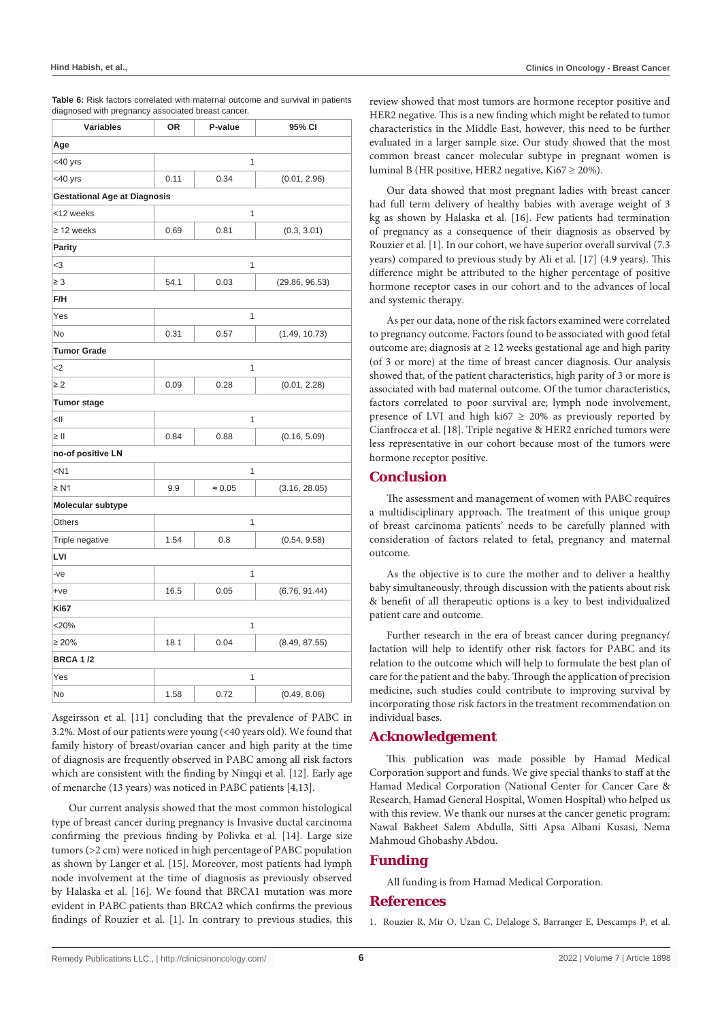| Table 6: Risk factors correlated with maternal outcome and survival in patients |
|---------------------------------------------------------------------------------|
| diagnosed with pregnancy associated breast cancer.                              |

| <b>Variables</b>                    | ΟR             | P-value                         | 95% CI         |  |
|-------------------------------------|----------------|---------------------------------|----------------|--|
| Age                                 |                |                                 |                |  |
| <40 yrs                             |                | 1                               |                |  |
| <40 yrs                             | 0.11           | 0.34<br>(0.01, 2.96)            |                |  |
| <b>Gestational Age at Diagnosis</b> |                |                                 |                |  |
| <12 weeks                           | 1              |                                 |                |  |
| $\geq$ 12 weeks                     | 0.69           | 0.81<br>(0.3, 3.01)             |                |  |
| <b>Parity</b>                       |                |                                 |                |  |
| $3$                                 |                | $\mathbf{1}$                    |                |  |
| $\geq 3$                            | 54.1           | 0.03                            | (29.86, 96.53) |  |
| F/H                                 |                |                                 |                |  |
| Yes                                 | 1              |                                 |                |  |
| <b>No</b>                           | 0.31           | 0.57                            | (1.49, 10.73)  |  |
| <b>Tumor Grade</b>                  |                |                                 |                |  |
| $2$                                 | 1              |                                 |                |  |
| $\geq 2$                            | 0.09           | 0.28<br>(0.01, 2.28)            |                |  |
| <b>Tumor stage</b>                  |                |                                 |                |  |
| $\leq$                              |                | 1                               |                |  |
| $\geq$                              | 0.84           | 0.88<br>(0.16, 5.09)            |                |  |
| no-of positive LN                   |                |                                 |                |  |
| $<$ N1                              | $\overline{1}$ |                                 |                |  |
| $\geq N1$                           | 9.9            | $\approx 0.05$<br>(3.16, 28.05) |                |  |
| <b>Molecular subtype</b>            |                |                                 |                |  |
| Others                              | 1              |                                 |                |  |
| Triple negative                     | 1.54           | 0.8                             | (0.54, 9.58)   |  |
| LVI                                 |                |                                 |                |  |
| -ve                                 | 1              |                                 |                |  |
| $+ve$                               | 16.5           | 0.05                            | (6.76, 91.44)  |  |
| <b>Ki67</b>                         |                |                                 |                |  |
| $<$ 20%                             | 1              |                                 |                |  |
| $\geq 20\%$                         | 18.1           | 0.04<br>(8.49, 87.55)           |                |  |
| <b>BRCA 1/2</b>                     |                |                                 |                |  |
| Yes                                 |                | 1                               |                |  |
| No                                  | 1.58           | 0.72                            | (0.49, 8.06)   |  |

Asgeirsson et al. [11] concluding that the prevalence of PABC in 3.2%. Most of our patients were young (<40 years old). We found that family history of breast/ovarian cancer and high parity at the time of diagnosis are frequently observed in PABC among all risk factors which are consistent with the finding by Ningqi et al. [12]. Early age of menarche (13 years) was noticed in PABC patients [4,13].

Our current analysis showed that the most common histological type of breast cancer during pregnancy is Invasive ductal carcinoma confirming the previous finding by Polivka et al. [14]. Large size tumors (>2 cm) were noticed in high percentage of PABC population as shown by Langer et al. [15]. Moreover, most patients had lymph node involvement at the time of diagnosis as previously observed by Halaska et al. [16]. We found that BRCA1 mutation was more evident in PABC patients than BRCA2 which confirms the previous findings of Rouzier et al. [1]. In contrary to previous studies, this

review showed that most tumors are hormone receptor positive and HER2 negative. This is a new finding which might be related to tumor characteristics in the Middle East, however, this need to be further evaluated in a larger sample size. Our study showed that the most common breast cancer molecular subtype in pregnant women is luminal B (HR positive, HER2 negative, Ki $67 \ge 20\%$ ).

Our data showed that most pregnant ladies with breast cancer had full term delivery of healthy babies with average weight of 3 kg as shown by Halaska et al. [16]. Few patients had termination of pregnancy as a consequence of their diagnosis as observed by Rouzier et al. [1]. In our cohort, we have superior overall survival (7.3 years) compared to previous study by Ali et al. [17] (4.9 years). This difference might be attributed to the higher percentage of positive hormone receptor cases in our cohort and to the advances of local and systemic therapy.

As per our data, none of the risk factors examined were correlated to pregnancy outcome. Factors found to be associated with good fetal outcome are; diagnosis at  $\geq$  12 weeks gestational age and high parity (of 3 or more) at the time of breast cancer diagnosis. Our analysis showed that, of the patient characteristics, high parity of 3 or more is associated with bad maternal outcome. Of the tumor characteristics, factors correlated to poor survival are; lymph node involvement, presence of LVI and high ki67  $\geq$  20% as previously reported by Cianfrocca et al. [18]. Triple negative & HER2 enriched tumors were less representative in our cohort because most of the tumors were hormone receptor positive.

# **Conclusion**

The assessment and management of women with PABC requires a multidisciplinary approach. The treatment of this unique group of breast carcinoma patients' needs to be carefully planned with consideration of factors related to fetal, pregnancy and maternal outcome.

As the objective is to cure the mother and to deliver a healthy baby simultaneously, through discussion with the patients about risk & benefit of all therapeutic options is a key to best individualized patient care and outcome.

Further research in the era of breast cancer during pregnancy/ lactation will help to identify other risk factors for PABC and its relation to the outcome which will help to formulate the best plan of care for the patient and the baby. Through the application of precision medicine, such studies could contribute to improving survival by incorporating those risk factors in the treatment recommendation on individual bases.

# **Acknowledgement**

This publication was made possible by Hamad Medical Corporation support and funds. We give special thanks to staff at the Hamad Medical Corporation (National Center for Cancer Care & Research, Hamad General Hospital, Women Hospital) who helped us with this review. We thank our nurses at the cancer genetic program: Nawal Bakheet Salem Abdulla, Sitti Apsa Albani Kusasi, Nema Mahmoud Ghobashy Abdou.

### **Funding**

All funding is from Hamad Medical Corporation.

# **References**

1. [Rouzier R, Mir O, Uzan C, Delaloge S, Barranger E, Descamps P, et al.](http://www.cngof.fr/pratiques-cliniques/guidelines/apercu?path=RPC_Ksein_et%2Bgrossesse_en.pdf&i=225)